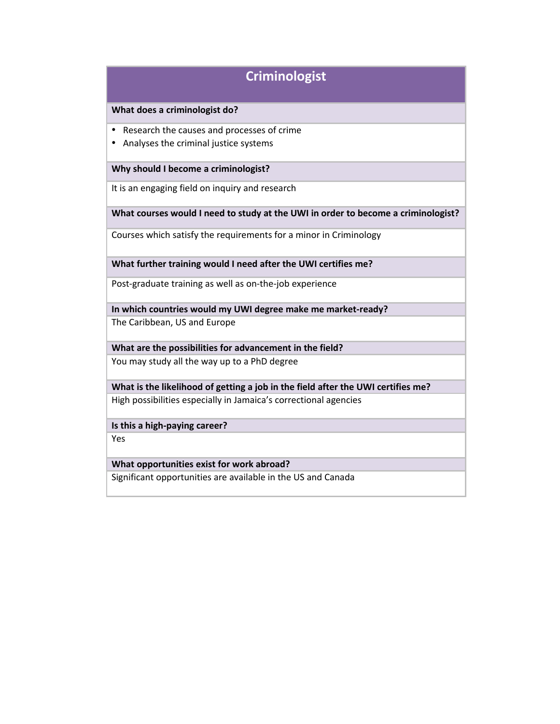# **Criminologist**

### **What does a criminologist do?**

- Research the causes and processes of crime
- Analyses the criminal justice systems

#### **Why should I become a criminologist?**

It is an engaging field on inquiry and research

#### **What courses would I need to study at the UWI in order to become a criminologist?**

Courses which satisfy the requirements for a minor in Criminology

**What further training would I need after the UWI certifies me?**

Post-graduate training as well as on-the-job experience

**In which countries would my UWI degree make me market-ready?** The Caribbean, US and Europe

**What are the possibilities for advancement in the field?** You may study all the way up to a PhD degree

**What is the likelihood of getting a job in the field after the UWI certifies me?** High possibilities especially in Jamaica's correctional agencies

**Is this a high-paying career?**

Yes

### **What opportunities exist for work abroad?**

Significant opportunities are available in the US and Canada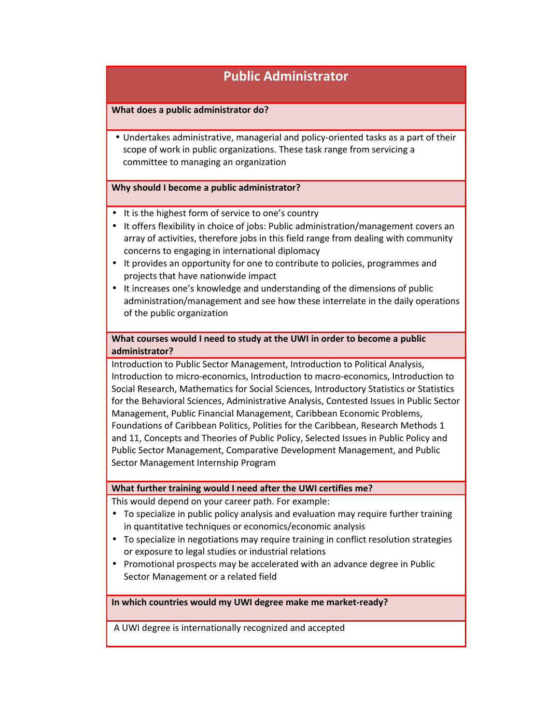# **Public Administrator**

## **What does a public administrator do?**

• Undertakes administrative, managerial and policy-oriented tasks as a part of their scope of work in public organizations. These task range from servicing a committee to managing an organization

#### **Why should I become a public administrator?**

- It is the highest form of service to one's country
- It offers flexibility in choice of jobs: Public administration/management covers an array of activities, therefore jobs in this field range from dealing with community concerns to engaging in international diplomacy
- It provides an opportunity for one to contribute to policies, programmes and projects that have nationwide impact
- It increases one's knowledge and understanding of the dimensions of public administration/management and see how these interrelate in the daily operations of the public organization

# **What courses would I need to study at the UWI in order to become a public administrator?**

Introduction to Public Sector Management, Introduction to Political Analysis, Introduction to micro-economics, Introduction to macro-economics, Introduction to Social Research, Mathematics for Social Sciences, Introductory Statistics or Statistics for the Behavioral Sciences, Administrative Analysis, Contested Issues in Public Sector Management, Public Financial Management, Caribbean Economic Problems, Foundations of Caribbean Politics, Polities for the Caribbean, Research Methods 1 and 11, Concepts and Theories of Public Policy, Selected Issues in Public Policy and Public Sector Management, Comparative Development Management, and Public Sector Management Internship Program

#### **What further training would I need after the UWI certifies me?**

This would depend on your career path. For example:

- To specialize in public policy analysis and evaluation may require further training in quantitative techniques or economics/economic analysis
- To specialize in negotiations may require training in conflict resolution strategies or exposure to legal studies or industrial relations
- Promotional prospects may be accelerated with an advance degree in Public Sector Management or a related field

**In which countries would my UWI degree make me market-ready?**

A UWI degree is internationally recognized and accepted